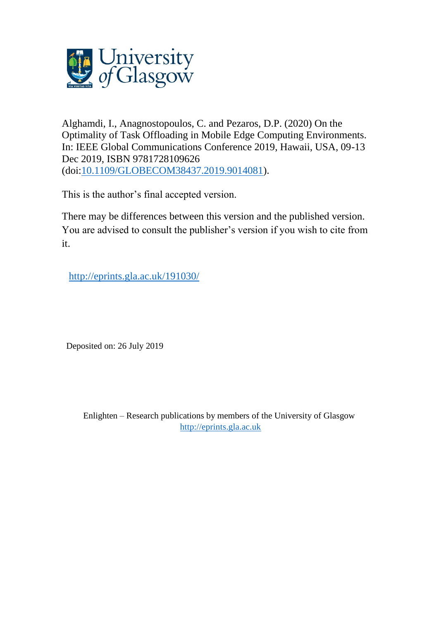

Alghamdi, I., Anagnostopoulos, C. and Pezaros, D.P. (2020) On the Optimality of Task Offloading in Mobile Edge Computing Environments. In: IEEE Global Communications Conference 2019, Hawaii, USA, 09-13 Dec 2019, ISBN 9781728109626 (doi[:10.1109/GLOBECOM38437.2019.9014081\)](http://dx.doi.org/10.1109/GLOBECOM38437.2019.9014081).

This is the author's final accepted version.

There may be differences between this version and the published version. You are advised to consult the publisher's version if you wish to cite from it.

<http://eprints.gla.ac.uk/191030/>

Deposited on: 26 July 2019

Enlighten – Research publications by members of the University of Glasgow [http://eprints.gla.ac.uk](http://eprints.gla.ac.uk/)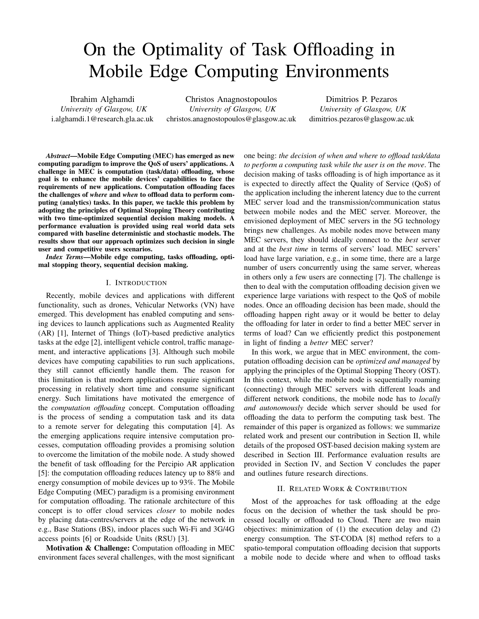# On the Optimality of Task Offloading in Mobile Edge Computing Environments

Ibrahim Alghamdi *University of Glasgow, UK* i.alghamdi.1@research.gla.ac.uk

Christos Anagnostopoulos *University of Glasgow, UK* christos.anagnostopoulos@glasgow.ac.uk

Dimitrios P. Pezaros *University of Glasgow, UK* dimitrios.pezaros@glasgow.ac.uk

*Abstract*—Mobile Edge Computing (MEC) has emerged as new computing paradigm to improve the QoS of users' applications. A challenge in MEC is computation (task/data) offloading, whose goal is to enhance the mobile devices' capabilities to face the requirements of new applications. Computation offloading faces the challenges of *where* and *when* to offload data to perform computing (analytics) tasks. In this paper, we tackle this problem by adopting the principles of Optimal Stopping Theory contributing with two time-optimized sequential decision making models. A performance evaluation is provided using real world data sets compared with baseline deterministic and stochastic models. The results show that our approach optimizes such decision in single user and competitive users scenarios.

*Index Terms*—Mobile edge computing, tasks offloading, optimal stopping theory, sequential decision making.

## I. INTRODUCTION

Recently, mobile devices and applications with different functionality, such as drones, Vehicular Networks (VN) have emerged. This development has enabled computing and sensing devices to launch applications such as Augmented Reality (AR) [1], Internet of Things (IoT)-based predictive analytics tasks at the edge [2], intelligent vehicle control, traffic management, and interactive applications [3]. Although such mobile devices have computing capabilities to run such applications, they still cannot efficiently handle them. The reason for this limitation is that modern applications require significant processing in relatively short time and consume significant energy. Such limitations have motivated the emergence of the *computation offloading* concept. Computation offloading is the process of sending a computation task and its data to a remote server for delegating this computation [4]. As the emerging applications require intensive computation processes, computation offloading provides a promising solution to overcome the limitation of the mobile node. A study showed the benefit of task offloading for the Percipio AR application [5]: the computation offloading reduces latency up to 88% and energy consumption of mobile devices up to 93%. The Mobile Edge Computing (MEC) paradigm is a promising environment for computation offloading. The rationale architecture of this concept is to offer cloud services *closer* to mobile nodes by placing data-centres/servers at the edge of the network in e.g., Base Stations (BS), indoor places such Wi-Fi and 3G/4G access points [6] or Roadside Units (RSU) [3].

Motivation & Challenge: Computation offloading in MEC environment faces several challenges, with the most significant one being: *the decision of when and where to offload task/data to perform a computing task while the user is on the move*. The decision making of tasks offloading is of high importance as it is expected to directly affect the Quality of Service (QoS) of the application including the inherent latency due to the current MEC server load and the transmission/communication status between mobile nodes and the MEC server. Moreover, the envisioned deployment of MEC servers in the 5G technology brings new challenges. As mobile nodes move between many MEC servers, they should ideally connect to the *best* server and at the *best time* in terms of servers' load. MEC servers' load have large variation, e.g., in some time, there are a large number of users concurrently using the same server, whereas in others only a few users are connecting [7]. The challenge is then to deal with the computation offloading decision given we experience large variations with respect to the QoS of mobile nodes. Once an offloading decision has been made, should the offloading happen right away or it would be better to delay the offloading for later in order to find a better MEC server in terms of load? Can we efficiently predict this postponement in light of finding a *better* MEC server?

In this work, we argue that in MEC environment, the computation offloading decision can be *optimized and managed* by applying the principles of the Optimal Stopping Theory (OST). In this context, while the mobile node is sequentially roaming (connecting) through MEC servers with different loads and different network conditions, the mobile node has to *locally and autonomously* decide which server should be used for offloading the data to perform the computing task best. The remainder of this paper is organized as follows: we summarize related work and present our contribution in Section II, while details of the proposed OST-based decision making system are described in Section III. Performance evaluation results are provided in Section IV, and Section V concludes the paper and outlines future research directions.

### II. RELATED WORK & CONTRIBUTION

Most of the approaches for task offloading at the edge focus on the decision of whether the task should be processed locally or offloaded to Cloud. There are two main objectives: minimization of (1) the execution delay and (2) energy consumption. The ST-CODA [8] method refers to a spatio-temporal computation offloading decision that supports a mobile node to decide where and when to offload tasks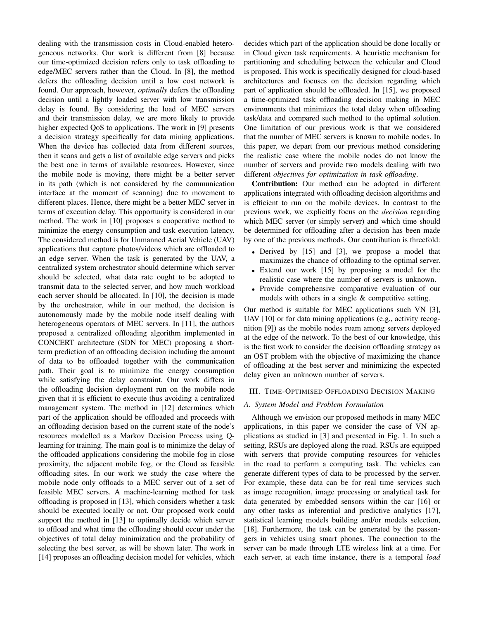dealing with the transmission costs in Cloud-enabled heterogeneous networks. Our work is different from [8] because our time-optimized decision refers only to task offloading to edge/MEC servers rather than the Cloud. In [8], the method defers the offloading decision until a low cost network is found. Our approach, however, *optimally* defers the offloading decision until a lightly loaded server with low transmission delay is found. By considering the load of MEC servers and their transmission delay, we are more likely to provide higher expected QoS to applications. The work in [9] presents a decision strategy specifically for data mining applications. When the device has collected data from different sources, then it scans and gets a list of available edge servers and picks the best one in terms of available resources. However, since the mobile node is moving, there might be a better server in its path (which is not considered by the communication interface at the moment of scanning) due to movement to different places. Hence, there might be a better MEC server in terms of execution delay. This opportunity is considered in our method. The work in [10] proposes a cooperative method to minimize the energy consumption and task execution latency. The considered method is for Unmanned Aerial Vehicle (UAV) applications that capture photos/videos which are offloaded to an edge server. When the task is generated by the UAV, a centralized system orchestrator should determine which server should be selected, what data rate ought to be adopted to transmit data to the selected server, and how much workload each server should be allocated. In [10], the decision is made by the orchestrator, while in our method, the decision is autonomously made by the mobile node itself dealing with heterogeneous operators of MEC servers. In [11], the authors proposed a centralized offloading algorithm implemented in CONCERT architecture (SDN for MEC) proposing a shortterm prediction of an offloading decision including the amount of data to be offloaded together with the communication path. Their goal is to minimize the energy consumption while satisfying the delay constraint. Our work differs in the offloading decision deployment run on the mobile node given that it is efficient to execute thus avoiding a centralized management system. The method in [12] determines which part of the application should be offloaded and proceeds with an offloading decision based on the current state of the node's resources modelled as a Markov Decision Process using Qlearning for training. The main goal is to minimize the delay of the offloaded applications considering the mobile fog in close proximity, the adjacent mobile fog, or the Cloud as feasible offloading sites. In our work we study the case where the mobile node only offloads to a MEC server out of a set of feasible MEC servers. A machine-learning method for task offloading is proposed in [13], which considers whether a task should be executed locally or not. Our proposed work could support the method in [13] to optimally decide which server to offload and what time the offloading should occur under the objectives of total delay minimization and the probability of selecting the best server, as will be shown later. The work in [14] proposes an offloading decision model for vehicles, which

decides which part of the application should be done locally or in Cloud given task requirements. A heuristic mechanism for partitioning and scheduling between the vehicular and Cloud is proposed. This work is specifically designed for cloud-based architectures and focuses on the decision regarding which part of application should be offloaded. In [15], we proposed a time-optimized task offloading decision making in MEC environments that minimizes the total delay when offloading task/data and compared such method to the optimal solution. One limitation of our previous work is that we considered that the number of MEC servers is known to mobile nodes. In this paper, we depart from our previous method considering the realistic case where the mobile nodes do not know the number of servers and provide two models dealing with two different *objectives for optimization in task offloading*.

Contribution: Our method can be adopted in different applications integrated with offloading decision algorithms and is efficient to run on the mobile devices. In contrast to the previous work, we explicitly focus on the *decision* regarding which MEC server (or simply server) and which time should be determined for offloading after a decision has been made by one of the previous methods. Our contribution is threefold:

- Derived by [15] and [3], we propose a model that maximizes the chance of offloading to the optimal server.
- Extend our work [15] by proposing a model for the realistic case where the number of servers is unknown.
- Provide comprehensive comparative evaluation of our models with others in a single & competitive setting.

Our method is suitable for MEC applications such VN [3], UAV [10] or for data mining applications (e.g., activity recognition [9]) as the mobile nodes roam among servers deployed at the edge of the network. To the best of our knowledge, this is the first work to consider the decision offloading strategy as an OST problem with the objective of maximizing the chance of offloading at the best server and minimizing the expected delay given an unknown number of servers.

## III. TIME-OPTIMISED OFFLOADING DECISION MAKING

# *A. System Model and Problem Formulation*

Although we envision our proposed methods in many MEC applications, in this paper we consider the case of VN applications as studied in [3] and presented in Fig. 1. In such a setting, RSUs are deployed along the road. RSUs are equipped with servers that provide computing resources for vehicles in the road to perform a computing task. The vehicles can generate different types of data to be processed by the server. For example, these data can be for real time services such as image recognition, image processing or analytical task for data generated by embedded sensors within the car [16] or any other tasks as inferential and predictive analytics [17], statistical learning models building and/or models selection, [18]. Furthermore, the task can be generated by the passengers in vehicles using smart phones. The connection to the server can be made through LTE wireless link at a time. For each server, at each time instance, there is a temporal *load*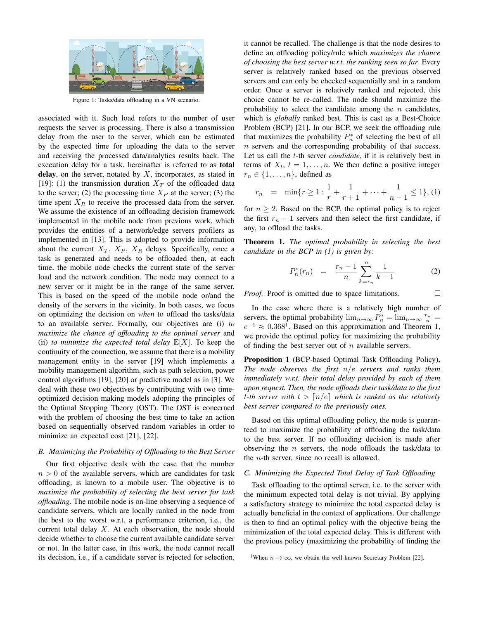

Figure 1: Tasks/data offloading in a VN scenario.

associated with it. Such load refers to the number of user requests the server is processing. There is also a transmission delay from the user to the server, which can be estimated by the expected time for uploading the data to the server and receiving the processed data/analytics results back. The execution delay for a task, hereinafter is referred to as total delay, on the server, notated by  $X$ , incorporates, as stated in [19]: (1) the transmission duration  $X_T$  of the offloaded data to the server; (2) the processing time  $X_P$  at the server; (3) the time spent  $X_R$  to receive the processed data from the server. We assume the existence of an offloading decision framework implemented in the mobile node from previous work, which provides the entities of a network/edge servers profilers as implemented in [13]. This is adopted to provide information about the current  $X_T$ ,  $X_P$ ,  $X_R$  delays. Specifically, once a task is generated and needs to be offloaded then, at each time, the mobile node checks the current state of the server load and the network condition. The node may connect to a new server or it might be in the range of the same server. This is based on the speed of the mobile node or/and the density of the servers in the vicinity. In both cases, we focus on optimizing the decision on *when* to offload the tasks/data to an available server. Formally, our objectives are (i) *to maximize the chance of offloading to the optimal server* and (ii) *to minimize the expected total delay*  $\mathbb{E}[X]$ . To keep the continuity of the connection, we assume that there is a mobility management entity in the server [19] which implements a mobility management algorithm, such as path selection, power control algorithms [19], [20] or predictive model as in [3]. We deal with these two objectives by contributing with two timeoptimized decision making models adopting the principles of the Optimal Stopping Theory (OST). The OST is concerned with the problem of choosing the best time to take an action based on sequentially observed random variables in order to minimize an expected cost [21], [22].

# *B. Maximizing the Probability of Offloading to the Best Server*

Our first objective deals with the case that the number  $n > 0$  of the available servers, which are candidates for task offloading, is known to a mobile user. The objective is to *maximize the probability of selecting the best server for task offloading*. The mobile node is on-line observing a sequence of candidate servers, which are locally ranked in the node from the best to the worst w.r.t. a performance criterion, i.e., the current total delay  $X$ . At each observation, the node should decide whether to choose the current available candidate server or not. In the latter case, in this work, the node cannot recall its decision, i.e., if a candidate server is rejected for selection, it cannot be recalled. The challenge is that the node desires to define an offloading policy/rule which *maximizes the chance of choosing the best server w.r.t. the ranking seen so far*. Every server is relatively ranked based on the previous observed servers and can only be checked sequentially and in a random order. Once a server is relatively ranked and rejected, this choice cannot be re-called. The node should maximize the probability to select the candidate among the  $n$  candidates, which is *globally* ranked best. This is cast as a Best-Choice Problem (BCP) [21]. In our BCP, we seek the offloading rule that maximizes the probability  $P_n^*$  of selecting the best of all n servers and the corresponding probability of that success. Let us call the t-th server *candidate*, if it is relatively best in terms of  $X_t$ ,  $t = 1, \ldots, n$ . We then define a positive integer  $r_n \in \{1, \ldots, n\}$ , defined as

$$
r_n = \min\{r \ge 1 : \frac{1}{r} + \frac{1}{r+1} + \dots + \frac{1}{n-1} \le 1\}, (1)
$$

for  $n \geq 2$ . Based on the BCP, the optimal policy is to reject the first  $r_n - 1$  servers and then select the first candidate, if any, to offload the tasks.

Theorem 1. *The optimal probability in selecting the best candidate in the BCP in (1) is given by:*

$$
P_n^*(r_n) = \frac{r_n - 1}{n} \sum_{k=r_n}^n \frac{1}{k - 1}
$$
 (2)

 $\Box$ 

*Proof.* Proof is omitted due to space limitations.

In the case where there is a relatively high number of servers, the optimal probability  $\lim_{n\to\infty} P_n^* = \lim_{n\to\infty} \frac{r_n}{n}$  $e^{-1} \approx 0.368^1$ . Based on this approximation and Theorem 1, we provide the optimal policy for maximizing the probability of finding the best server out of  $n$  available servers.

Proposition 1 (BCP-based Optimal Task Offloading Policy). *The node observes the first* n/e *servers and ranks them immediately w.r.t. their total delay provided by each of them upon request. Then, the node offloads their task/data to the first* t-th server with  $t > \lfloor n/e \rfloor$  which is ranked as the relatively *best server compared to the previously ones.*

Based on this optimal offloading policy, the node is guaranteed to maximize the probability of offloading the task/data to the best server. If no offloading decision is made after observing the  $n$  servers, the node offloads the task/data to the n-th server, since no recall is allowed.

# *C. Minimizing the Expected Total Delay of Task Offloading*

Task offloading to the optimal server, i.e. to the server with the minimum expected total delay is not trivial. By applying a satisfactory strategy to minimize the total expected delay is actually beneficial in the context of applications. Our challenge is then to find an optimal policy with the objective being the minimization of the total expected delay. This is different with the previous policy (maximizing the probability of finding the

<sup>1</sup>When  $n \to \infty$ , we obtain the well-known Secretary Problem [22].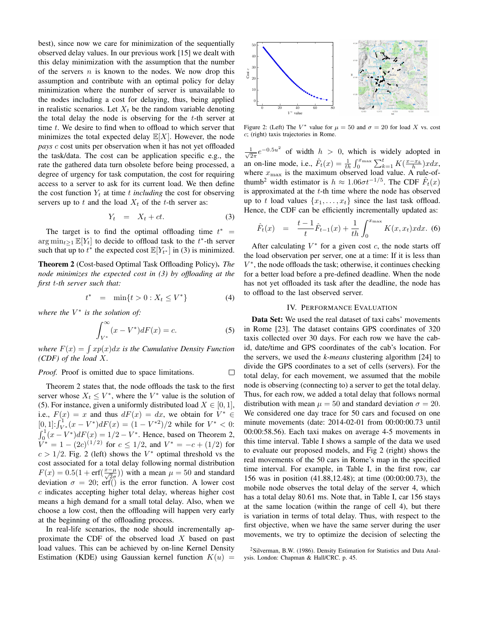best), since now we care for minimization of the sequentially observed delay values. In our previous work [15] we dealt with this delay minimization with the assumption that the number of the servers  $n$  is known to the nodes. We now drop this assumption and contribute with an optimal policy for delay minimization where the number of server is unavailable to the nodes including a cost for delaying, thus, being applied in realistic scenarios. Let  $X_t$  be the random variable denoting the total delay the node is observing for the  $t$ -th server at time  $t$ . We desire to find when to offload to which server that minimizes the total expected delay  $\mathbb{E}[X]$ . However, the node *pays* c cost units per observation when it has not yet offloaded the task/data. The cost can be application specific e.g., the rate the gathered data turn obsolete before being processed, a degree of urgency for task computation, the cost for requiring access to a server to ask for its current load. We then define the cost function  $Y_t$  at time t *including* the cost for observing servers up to t and the load  $X_t$  of the t-th server as:

$$
Y_t = X_t + ct. \tag{3}
$$

The target is to find the optimal offloading time  $t^* =$  $\arg \min_{t \geq 1} \mathbb{E}[Y_t]$  to decide to offload task to the  $t^*$ -th server such that up to  $t^*$  the expected cost  $\mathbb{E}[Y_{t^*}]$  in (3) is minimized.

Theorem 2 (Cost-based Optimal Task Offloading Policy). *The node minimizes the expected cost in (3) by offloading at the first* t*-th server such that:*

$$
t^* = \min\{t > 0 : X_t \le V^*\}\tag{4}
$$

*where the* V ∗ *is the solution of:*

$$
\int_{V^*}^{\infty} (x - V^*) dF(x) = c.
$$
 (5)

where  $F(x) = \int x p(x) dx$  is the Cumulative Density Function *(CDF) of the load* X*.*

*Proof.* Proof is omitted due to space limitations.  $\Box$ 

Theorem 2 states that, the node offloads the task to the first server whose  $X_t \leq V^*$ , where the  $V^*$  value is the solution of (5). For instance, given a uniformly distributed load  $X \in [0, 1]$ , i.e.,  $F(x) = x$  and thus  $dF(x) = dx$ , we obtain for  $V^* \in$  $[0,1]: \int_{V^*}^{1} (x - V^*) dF(x) = (1 - V^{*2})/2$  while for  $V^* < 0$ :  $\int_0^1 (x - V^*) dF(x) = 1/2 - V^*$ . Hence, based on Theorem 2,  $V^* = 1 - (2c)^{(1/2)}$  for  $c \le 1/2$ , and  $V^* = -c + (1/2)$  for  $c > 1/2$ . Fig. 2 (left) shows the  $V^*$  optimal threshold vs the cost associated for a total delay following normal distribution  $F(x) = 0.5(1 + \text{erf}(\frac{x-\mu}{\sqrt{2g}}))$  with a mean  $\mu = 50$  and standard deviation  $\sigma = 20$ ; erf() is the error function. A lower cost  $c$  indicates accepting higher total delay, whereas higher cost means a high demand for a small total delay. Also, when we choose a low cost, then the offloading will happen very early at the beginning of the offloading process.

In real-life scenarios, the node should incrementally approximate the CDF of the observed load  $X$  based on past load values. This can be achieved by on-line Kernel Density Estimation (KDE) using Gaussian kernel function  $K(u)$  =



Figure 2: (Left) The  $V^*$  value for  $\mu = 50$  and  $\sigma = 20$  for load X vs. cost c; (right) taxis trajectories in Rome.

 $\frac{1}{\sqrt{2}}$  $\frac{1}{2\pi}e^{-0.5u^2}$  of width  $h > 0$ , which is widely adopted in an on-line mode, i.e.,  $\hat{F}_t(x) = \frac{1}{th} \int_0^{x_{\text{max}}} \sum_{k=1}^t K(\frac{x-x_k}{h}) x dx$ , where  $x_{\text{max}}$  is the maximum observed load value. A rule-ofthumb<sup>2</sup> width estimator is  $h \approx 1.06 \sigma t^{-1/5}$ . The CDF  $\hat{F}_t(x)$ is approximated at the t-th time where the node has observed up to t load values  $\{x_1, \ldots, x_t\}$  since the last task offload. Hence, the CDF can be efficiently incrementally updated as:

$$
\hat{F}_t(x) = \frac{t-1}{t}\hat{F}_{t-1}(x) + \frac{1}{th} \int_0^{x_{\text{max}}} K(x, x_t) x dx. \tag{6}
$$

After calculating  $V^*$  for a given cost  $c$ , the node starts off the load observation per server, one at a time: If it is less than V ∗ , the node offloads the task; otherwise, it continues checking for a better load before a pre-defined deadline. When the node has not yet offloaded its task after the deadline, the node has to offload to the last observed server.

## IV. PERFORMANCE EVALUATION

Data Set: We used the real dataset of taxi cabs' movements in Rome [23]. The dataset contains GPS coordinates of 320 taxis collected over 30 days. For each row we have the cabid, date/time and GPS coordinates of the cab's location. For the servers, we used the *k-means* clustering algorithm [24] to divide the GPS coordinates to a set of cells (servers). For the total delay, for each movement, we assumed that the mobile node is observing (connecting to) a server to get the total delay. Thus, for each row, we added a total delay that follows normal distribution with mean  $\mu = 50$  and standard deviation  $\sigma = 20$ . We considered one day trace for 50 cars and focused on one minute movements (date: 2014-02-01 from 00:00:00.73 until 00:00:58.56). Each taxi makes on average 4-5 movements in this time interval. Table I shows a sample of the data we used to evaluate our proposed models, and Fig 2 (right) shows the real movements of the 50 cars in Rome's map in the specified time interval. For example, in Table I, in the first row, car 156 was in position (41.88,12.48); at time (00:00:00.73), the mobile node observes the total delay of the server 4, which has a total delay 80.61 ms. Note that, in Table I, car 156 stays at the same location (within the range of cell 4), but there is variation in terms of total delay. Thus, with respect to the first objective, when we have the same server during the user movements, we try to optimize the decision of selecting the

<sup>&</sup>lt;sup>2</sup>Silverman, B.W. (1986). Density Estimation for Statistics and Data Analysis. London: Chapman & Hall/CRC. p. 45.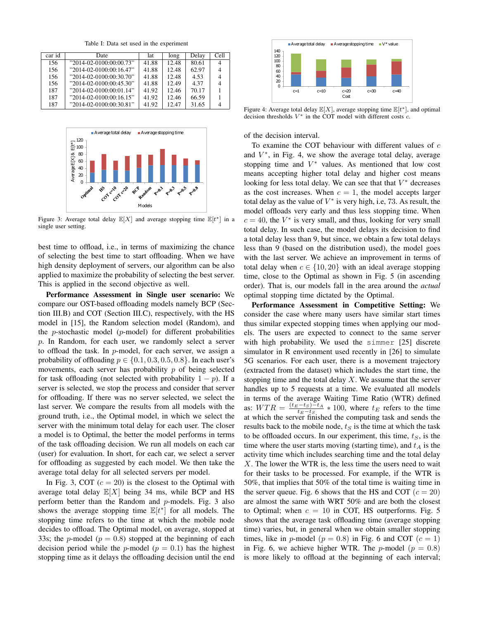Table I: Data set used in the experiment

| car id | Date                      | lat   | long  | Delay | Cell |
|--------|---------------------------|-------|-------|-------|------|
| 156    | $"2014-02-0100:00:00.73"$ | 41.88 | 12.48 | 80.61 |      |
| 156    | $"2014-02-0100:00:16.47"$ | 41.88 | 12.48 | 62.97 |      |
| 156    | "2014-02-0100:00:30.70"   | 41.88 | 12.48 | 4.53  |      |
| 156    | $"2014-02-0100:00:45.30"$ | 41.88 | 12.49 | 4.37  |      |
| 187    | $"2014-02-0100:00:01.14"$ | 41.92 | 12.46 | 70.17 |      |
| 187    | "2014-02-0100:00:16.15"   | 41.92 | 12.46 | 66.59 |      |
| 187    | "2014-02-0100:00:30.81"   | 41.92 | 12.47 | 31.65 |      |



Figure 3: Average total delay  $\mathbb{E}[X]$  and average stopping time  $\mathbb{E}[t^*]$  in a single user setting.

best time to offload, i.e., in terms of maximizing the chance of selecting the best time to start offloading. When we have high density deployment of servers, our algorithm can be also applied to maximize the probability of selecting the best server. This is applied in the second objective as well.

Performance Assessment in Single user scenario: We compare our OST-based offloading models namely BCP (Section III.B) and COT (Section III.C), respectively, with the HS model in [15], the Random selection model (Random), and the p-stochastic model (p-model) for different probabilities p. In Random, for each user, we randomly select a server to offload the task. In p-model, for each server, we assign a probability of offloading  $p \in \{0.1, 0.3, 0.5, 0.8\}$ . In each user's movements, each server has probability  $p$  of being selected for task offloading (not selected with probability  $1 - p$ ). If a server is selected, we stop the process and consider that server for offloading. If there was no server selected, we select the last server. We compare the results from all models with the ground truth, i.e., the Optimal model, in which we select the server with the minimum total delay for each user. The closer a model is to Optimal, the better the model performs in terms of the task offloading decision. We run all models on each car (user) for evaluation. In short, for each car, we select a server for offloading as suggested by each model. We then take the average total delay for all selected servers per model. 1887 (1987) (1987) (1987) (1988) (1988) (1988) (1988) (1988) (1988) (1988) (1988) (1988) (1988) (1988) (1988) (1988) (1988) (1988) (1988) (1988) (1988) (1988) (1988) (1988) (1988) (1988) (1988) (1988) (1988) (1988) (1988)

In Fig. 3, COT  $(c = 20)$  is the closest to the Optimal with average total delay  $\mathbb{E}[X]$  being 34 ms, while BCP and HS perform better than the Random and  $p$ -models. Fig. 3 also shows the average stopping time  $\mathbb{E}[t^*]$  for all models. The stopping time refers to the time at which the mobile node decides to offload. The Optimal model, on average, stopped at 33s; the p-model ( $p = 0.8$ ) stopped at the beginning of each decision period while the p-model ( $p = 0.1$ ) has the highest



Figure 4: Average total delay  $\mathbb{E}[X]$ , average stopping time  $\mathbb{E}[t^*]$ , and optimal decision thresholds  $V^*$  in the COT model with different costs  $c$ .

of the decision interval.

To examine the COT behaviour with different values of  $c$ and  $V^*$ , in Fig. 4, we show the average total delay, average stopping time and  $V^*$  values. As mentioned that low cost means accepting higher total delay and higher cost means looking for less total delay. We can see that that  $V^*$  decreases as the cost increases. When  $c = 1$ , the model accepts larger total delay as the value of  $V^*$  is very high, i.e, 73. As result, the model offloads very early and thus less stopping time. When  $c = 40$ , the  $V^*$  is very small, and thus, looking for very small total delay. In such case, the model delays its decision to find a total delay less than 9, but since, we obtain a few total delays less than 9 (based on the distribution used), the model goes with the last server. We achieve an improvement in terms of total delay when  $c \in \{10, 20\}$  with an ideal average stopping time, close to the Optimal as shown in Fig. 5 (in ascending order). That is, our models fall in the area around the *actual* optimal stopping time dictated by the Optimal.

Performance Assessment in Competitive Setting: We consider the case where many users have similar start times thus similar expected stopping times when applying our models. The users are expected to connect to the same server with high probability. We used the simmer [25] discrete simulator in R environment used recently in [26] to simulate 5G scenarios. For each user, there is a movement trajectory (extracted from the dataset) which includes the start time, the stopping time and the total delay  $X$ . We assume that the server handles up to 5 requests at a time. We evaluated all models in terms of the average Waiting Time Ratio (WTR) defined as:  $WTR = \frac{(t_E - t_S) - t_A}{t_B - t_S}$  $\frac{t_E - t_S - t_A}{t_E - t_S} * 100$ , where  $t_E$  refers to the time at which the server finished the computing task and sends the results back to the mobile node,  $t<sub>S</sub>$  is the time at which the task to be offloaded occurs. In our experiment, this time,  $t<sub>S</sub>$ , is the time where the user starts moving (starting time), and  $t_A$  is the activity time which includes searching time and the total delay  $X$ . The lower the WTR is, the less time the users need to wait for their tasks to be processed. For example, if the WTR is 50%, that implies that 50% of the total time is waiting time in the server queue. Fig. 6 shows that the HS and COT  $(c = 20)$ are almost the same with WRT 50% and are both the closest to Optimal; when  $c = 10$  in COT, HS outperforms. Fig. 5 shows that the average task offloading time (average stopping time) varies, but, in general when we obtain smaller stopping times, like in p-model ( $p = 0.8$ ) in Fig. 6 and COT ( $c = 1$ ) in Fig. 6, we achieve higher WTR. The p-model  $(p = 0.8)$ is more likely to offload at the beginning of each interval;